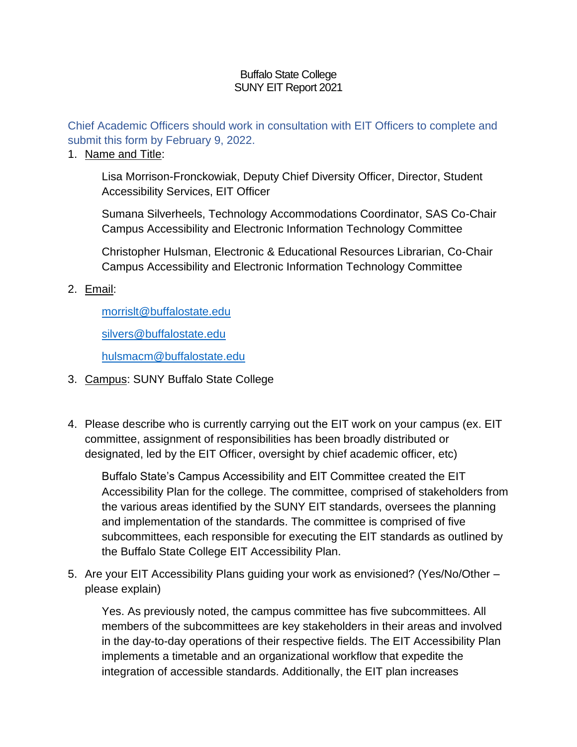#### Buffalo State College SUNY EIT Report 2021

Chief Academic Officers should work in consultation with EIT Officers to complete and submit this form by February 9, 2022.

#### 1. Name and Title:

Lisa Morrison-Fronckowiak, Deputy Chief Diversity Officer, Director, Student Accessibility Services, EIT Officer

Sumana Silverheels, Technology Accommodations Coordinator, SAS Co-Chair Campus Accessibility and Electronic Information Technology Committee

Christopher Hulsman, Electronic & Educational Resources Librarian, Co-Chair Campus Accessibility and Electronic Information Technology Committee

### 2. Email:

[morrislt@buffalostate.edu](mailto:Morrislt@buffalostate.edu)

[silvers@buffalostate.edu](mailto:Silvers@buffalostate.edu)

[hulsmacm@buffalostate.edu](mailto:Hulsmacm@buffalostate.edu)

- 3. Campus: SUNY Buffalo State College
- 4. Please describe who is currently carrying out the EIT work on your campus (ex. EIT committee, assignment of responsibilities has been broadly distributed or designated, led by the EIT Officer, oversight by chief academic officer, etc)

Buffalo State's Campus Accessibility and EIT Committee created the EIT Accessibility Plan for the college. The committee, comprised of stakeholders from the various areas identified by the SUNY EIT standards, oversees the planning and implementation of the standards. The committee is comprised of five subcommittees, each responsible for executing the EIT standards as outlined by the Buffalo State College EIT Accessibility Plan.

5. Are your EIT Accessibility Plans guiding your work as envisioned? (Yes/No/Other – please explain)

Yes. As previously noted, the campus committee has five subcommittees. All members of the subcommittees are key stakeholders in their areas and involved in the day-to-day operations of their respective fields. The EIT Accessibility Plan implements a timetable and an organizational workflow that expedite the integration of accessible standards. Additionally, the EIT plan increases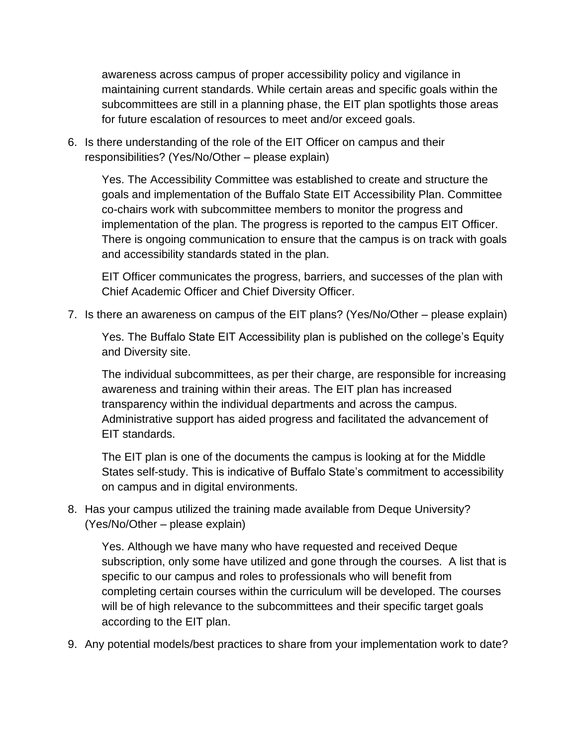awareness across campus of proper accessibility policy and vigilance in maintaining current standards. While certain areas and specific goals within the subcommittees are still in a planning phase, the EIT plan spotlights those areas for future escalation of resources to meet and/or exceed goals.

6. Is there understanding of the role of the EIT Officer on campus and their responsibilities? (Yes/No/Other – please explain)

Yes. The Accessibility Committee was established to create and structure the goals and implementation of the Buffalo State EIT Accessibility Plan. Committee co-chairs work with subcommittee members to monitor the progress and implementation of the plan. The progress is reported to the campus EIT Officer. There is ongoing communication to ensure that the campus is on track with goals and accessibility standards stated in the plan.

EIT Officer communicates the progress, barriers, and successes of the plan with Chief Academic Officer and Chief Diversity Officer.

7. Is there an awareness on campus of the EIT plans? (Yes/No/Other – please explain)

Yes. The Buffalo State EIT Accessibility plan is published on the college's Equity and Diversity site.

The individual subcommittees, as per their charge, are responsible for increasing awareness and training within their areas. The EIT plan has increased transparency within the individual departments and across the campus. Administrative support has aided progress and facilitated the advancement of EIT standards.

The EIT plan is one of the documents the campus is looking at for the Middle States self-study. This is indicative of Buffalo State's commitment to accessibility on campus and in digital environments.

8. Has your campus utilized the training made available from Deque University? (Yes/No/Other – please explain)

Yes. Although we have many who have requested and received Deque subscription, only some have utilized and gone through the courses. A list that is specific to our campus and roles to professionals who will benefit from completing certain courses within the curriculum will be developed. The courses will be of high relevance to the subcommittees and their specific target goals according to the EIT plan.

9. Any potential models/best practices to share from your implementation work to date?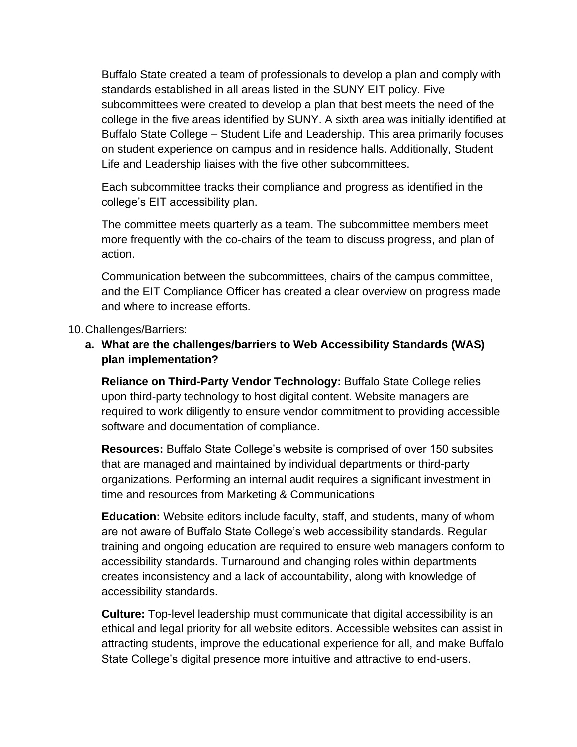Buffalo State created a team of professionals to develop a plan and comply with standards established in all areas listed in the SUNY EIT policy. Five subcommittees were created to develop a plan that best meets the need of the college in the five areas identified by SUNY. A sixth area was initially identified at Buffalo State College – Student Life and Leadership. This area primarily focuses on student experience on campus and in residence halls. Additionally, Student Life and Leadership liaises with the five other subcommittees.

Each subcommittee tracks their compliance and progress as identified in the college's EIT accessibility plan.

The committee meets quarterly as a team. The subcommittee members meet more frequently with the co-chairs of the team to discuss progress, and plan of action.

Communication between the subcommittees, chairs of the campus committee, and the EIT Compliance Officer has created a clear overview on progress made and where to increase efforts.

#### 10.Challenges/Barriers:

# **a. What are the challenges/barriers to Web Accessibility Standards (WAS) plan implementation?**

**Reliance on Third-Party Vendor Technology:** Buffalo State College relies upon third-party technology to host digital content. Website managers are required to work diligently to ensure vendor commitment to providing accessible software and documentation of compliance.

**Resources:** Buffalo State College's website is comprised of over 150 subsites that are managed and maintained by individual departments or third-party organizations. Performing an internal audit requires a significant investment in time and resources from Marketing & Communications

**Education:** Website editors include faculty, staff, and students, many of whom are not aware of Buffalo State College's web accessibility standards. Regular training and ongoing education are required to ensure web managers conform to accessibility standards. Turnaround and changing roles within departments creates inconsistency and a lack of accountability, along with knowledge of accessibility standards.

**Culture:** Top-level leadership must communicate that digital accessibility is an ethical and legal priority for all website editors. Accessible websites can assist in attracting students, improve the educational experience for all, and make Buffalo State College's digital presence more intuitive and attractive to end-users.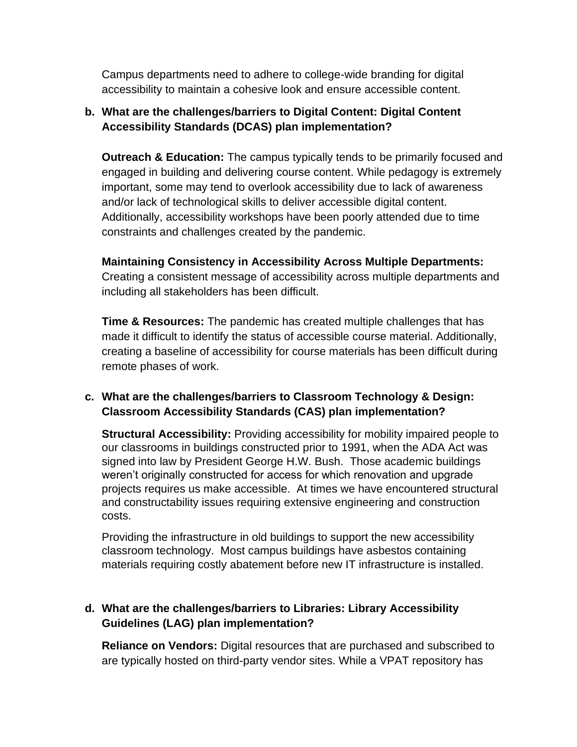Campus departments need to adhere to college-wide branding for digital accessibility to maintain a cohesive look and ensure accessible content.

# **b. What are the challenges/barriers to Digital Content: Digital Content Accessibility Standards (DCAS) plan implementation?**

**Outreach & Education:** The campus typically tends to be primarily focused and engaged in building and delivering course content. While pedagogy is extremely important, some may tend to overlook accessibility due to lack of awareness and/or lack of technological skills to deliver accessible digital content. Additionally, accessibility workshops have been poorly attended due to time constraints and challenges created by the pandemic.

**Maintaining Consistency in Accessibility Across Multiple Departments:**  Creating a consistent message of accessibility across multiple departments and including all stakeholders has been difficult.

**Time & Resources:** The pandemic has created multiple challenges that has made it difficult to identify the status of accessible course material. Additionally, creating a baseline of accessibility for course materials has been difficult during remote phases of work.

### **c. What are the challenges/barriers to Classroom Technology & Design: Classroom Accessibility Standards (CAS) plan implementation?**

**Structural Accessibility:** Providing accessibility for mobility impaired people to our classrooms in buildings constructed prior to 1991, when the ADA Act was signed into law by President George H.W. Bush. Those academic buildings weren't originally constructed for access for which renovation and upgrade projects requires us make accessible. At times we have encountered structural and constructability issues requiring extensive engineering and construction costs.

Providing the infrastructure in old buildings to support the new accessibility classroom technology. Most campus buildings have asbestos containing materials requiring costly abatement before new IT infrastructure is installed.

# **d. What are the challenges/barriers to Libraries: Library Accessibility Guidelines (LAG) plan implementation?**

**Reliance on Vendors:** Digital resources that are purchased and subscribed to are typically hosted on third-party vendor sites. While a VPAT repository has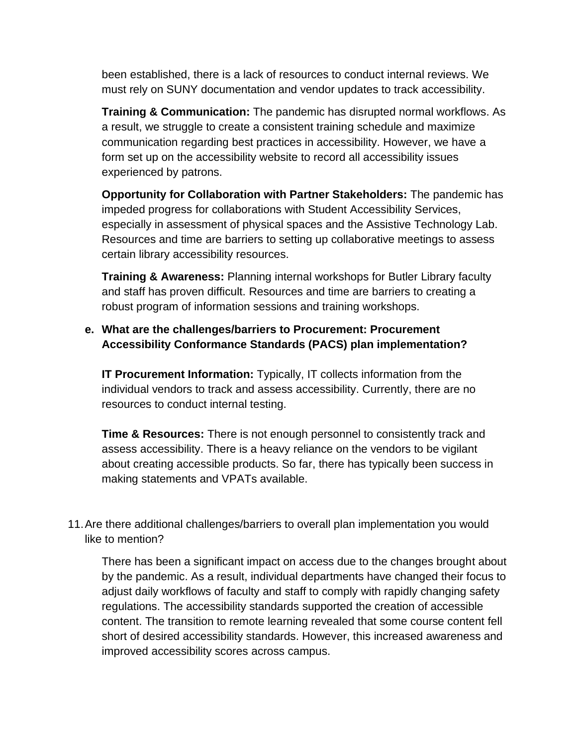been established, there is a lack of resources to conduct internal reviews. We must rely on SUNY documentation and vendor updates to track accessibility.

**Training & Communication:** The pandemic has disrupted normal workflows. As a result, we struggle to create a consistent training schedule and maximize communication regarding best practices in accessibility. However, we have a form set up on the accessibility website to record all accessibility issues experienced by patrons.

**Opportunity for Collaboration with Partner Stakeholders:** The pandemic has impeded progress for collaborations with Student Accessibility Services, especially in assessment of physical spaces and the Assistive Technology Lab. Resources and time are barriers to setting up collaborative meetings to assess certain library accessibility resources.

**Training & Awareness:** Planning internal workshops for Butler Library faculty and staff has proven difficult. Resources and time are barriers to creating a robust program of information sessions and training workshops.

### **e. What are the challenges/barriers to Procurement: Procurement Accessibility Conformance Standards (PACS) plan implementation?**

**IT Procurement Information:** Typically, IT collects information from the individual vendors to track and assess accessibility. Currently, there are no resources to conduct internal testing.

**Time & Resources:** There is not enough personnel to consistently track and assess accessibility. There is a heavy reliance on the vendors to be vigilant about creating accessible products. So far, there has typically been success in making statements and VPATs available.

11.Are there additional challenges/barriers to overall plan implementation you would like to mention?

There has been a significant impact on access due to the changes brought about by the pandemic. As a result, individual departments have changed their focus to adjust daily workflows of faculty and staff to comply with rapidly changing safety regulations. The accessibility standards supported the creation of accessible content. The transition to remote learning revealed that some course content fell short of desired accessibility standards. However, this increased awareness and improved accessibility scores across campus.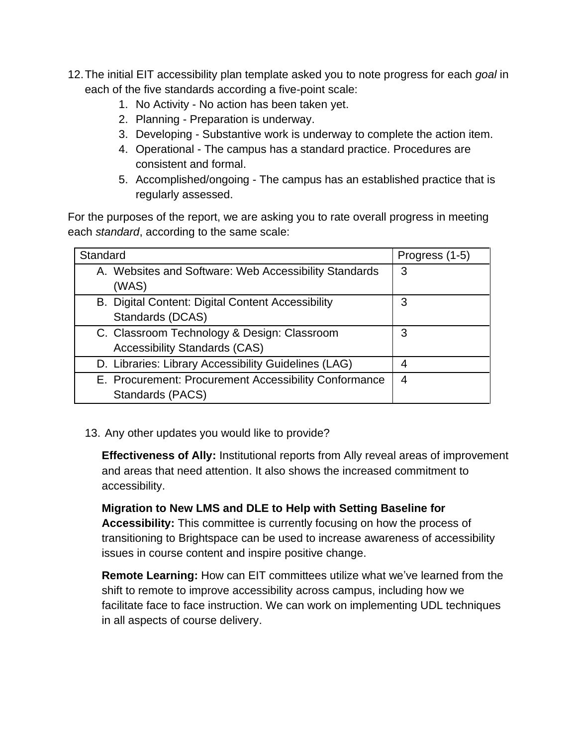- 12.The initial EIT accessibility plan template asked you to note progress for each *goal* in each of the five standards according a five-point scale:
	- 1. No Activity No action has been taken yet.
	- 2. Planning Preparation is underway.
	- 3. Developing Substantive work is underway to complete the action item.
	- 4. Operational The campus has a standard practice. Procedures are consistent and formal.
	- 5. Accomplished/ongoing The campus has an established practice that is regularly assessed.

For the purposes of the report, we are asking you to rate overall progress in meeting each *standard*, according to the same scale:

| Standard                                              | Progress (1-5) |
|-------------------------------------------------------|----------------|
| A. Websites and Software: Web Accessibility Standards | 3              |
| (WAS)                                                 |                |
| B. Digital Content: Digital Content Accessibility     | 3              |
| Standards (DCAS)                                      |                |
| C. Classroom Technology & Design: Classroom           | 3              |
| <b>Accessibility Standards (CAS)</b>                  |                |
| D. Libraries: Library Accessibility Guidelines (LAG)  |                |
| E. Procurement: Procurement Accessibility Conformance | 4              |
| Standards (PACS)                                      |                |

13. Any other updates you would like to provide?

**Effectiveness of Ally:** Institutional reports from Ally reveal areas of improvement and areas that need attention. It also shows the increased commitment to accessibility.

**Migration to New LMS and DLE to Help with Setting Baseline for Accessibility:** This committee is currently focusing on how the process of transitioning to Brightspace can be used to increase awareness of accessibility issues in course content and inspire positive change.

**Remote Learning:** How can EIT committees utilize what we've learned from the shift to remote to improve accessibility across campus, including how we facilitate face to face instruction. We can work on implementing UDL techniques in all aspects of course delivery.